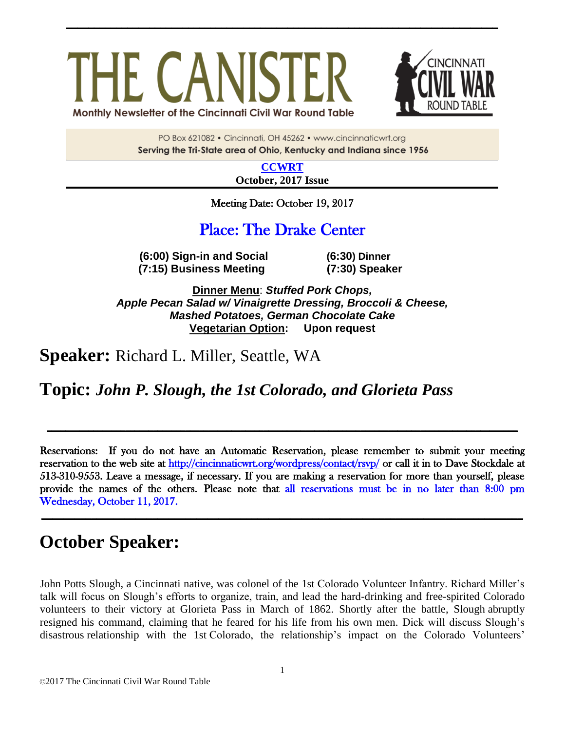# HE CANIS Monthly Newsletter of the Cincinnati Civil War Round Table



PO Box 621082 · Cincinnati, OH 45262 · www.cincinnaticwrt.org Serving the Tri-State area of Ohio, Kentucky and Indiana since 1956

**\_\_\_\_\_\_\_\_\_\_\_\_\_\_\_\_\_\_\_\_\_\_\_\_\_\_\_\_\_\_\_\_\_\_\_\_\_\_\_\_\_\_\_\_\_\_\_\_\_\_\_\_\_\_\_\_\_\_\_\_\_\_\_\_\_\_\_\_\_\_\_\_\_\_\_\_\_\_**

**[CCWRT](http://www.cincinnaticwrt.org/) October, 2017 Issue**

Meeting Date: October 19, 2017

### Place: The Drake Center

**(6:00) Sign-in and Social (6:30) Dinner (7:15) Business Meeting (7:30) Speaker**

**Dinner Menu**: *Stuffed Pork Chops, Apple Pecan Salad w/ Vinaigrette Dressing, Broccoli & Cheese, Mashed Potatoes, German Chocolate Cake* **Vegetarian Option: Upon request**

**Speaker:** Richard L. Miller, Seattle, WA

**Topic:** *John P. Slough, the 1st Colorado, and Glorieta Pass*

Reservations: If you do not have an Automatic Reservation, please remember to submit your meeting reservation to the web site at<http://cincinnaticwrt.org/wordpress/contact/rsvp/>or call it in to Dave Stockdale at 513-310-9553. Leave a message, if necessary. If you are making a reservation for more than yourself, please provide the names of the others. Please note that all reservations must be in no later than 8:00 pm Wednesday, October 11, 2017.

**\_\_\_\_\_\_\_\_\_\_\_\_\_\_\_\_\_\_\_\_\_\_\_\_\_\_\_\_\_\_\_\_\_\_\_\_\_\_\_\_\_\_\_\_\_\_\_\_\_\_\_\_\_\_\_\_\_\_\_\_\_\_\_\_\_\_\_\_\_\_\_\_\_\_\_\_\_\_\_\_\_\_\_\_\_\_\_**

**\_\_\_\_\_\_\_\_\_\_\_\_\_\_\_\_\_\_\_\_\_\_\_\_\_\_\_\_\_\_\_\_\_\_\_\_\_\_\_\_\_\_\_\_\_\_\_\_\_\_\_\_\_\_\_\_\_\_\_\_\_\_\_\_\_\_\_\_\_\_\_\_\_\_\_\_\_\_\_\_\_\_\_\_\_\_\_\_\_\_\_\_\_\_\_\_\_\_\_\_\_\_**

## **October Speaker:**

[John Potts Slough,](http://www.civilwar.org/education/history/biographies/john-potts-slough.html) a Cincinnati native, was colonel of the 1st Colorado Volunteer Infantry. Richard Miller's talk will focus on Slough's efforts to organize, train, and lead the hard-drinking and free-spirited Colorado volunteers to their victory at Glorieta Pass in March of 1862. Shortly after the battle, Slough abruptly resigned his command, claiming that he feared for his life from his own men. Dick will discuss Slough's disastrous relationship with the 1st Colorado, the relationship's impact on the Colorado Volunteers'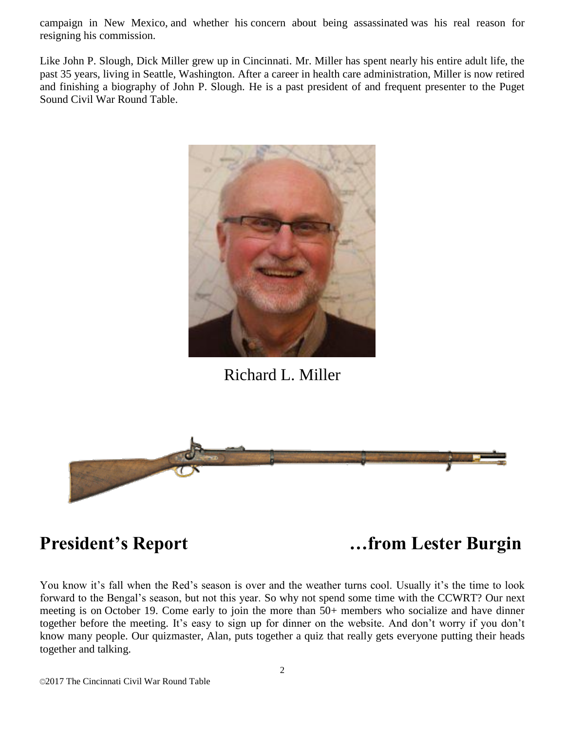campaign in New Mexico, and whether his concern about being assassinated was his real reason for resigning his commission.

Like John P. Slough, Dick Miller grew up in Cincinnati. Mr. Miller has spent nearly his entire adult life, the past 35 years, living in Seattle, Washington. After a career in health care administration, Miller is now retired and finishing a biography of John P. Slough. He is a past president of and frequent presenter to the Puget Sound Civil War Round Table.



Richard L. Miller



**President's Report …from Lester Burgin**

You know it's fall when the Red's season is over and the weather turns cool. Usually it's the time to look forward to the Bengal's season, but not this year. So why not spend some time with the CCWRT? Our next meeting is on October 19. Come early to join the more than 50+ members who socialize and have dinner together before the meeting. It's easy to sign up for dinner on the website. And don't worry if you don't know many people. Our quizmaster, Alan, puts together a quiz that really gets everyone putting their heads together and talking.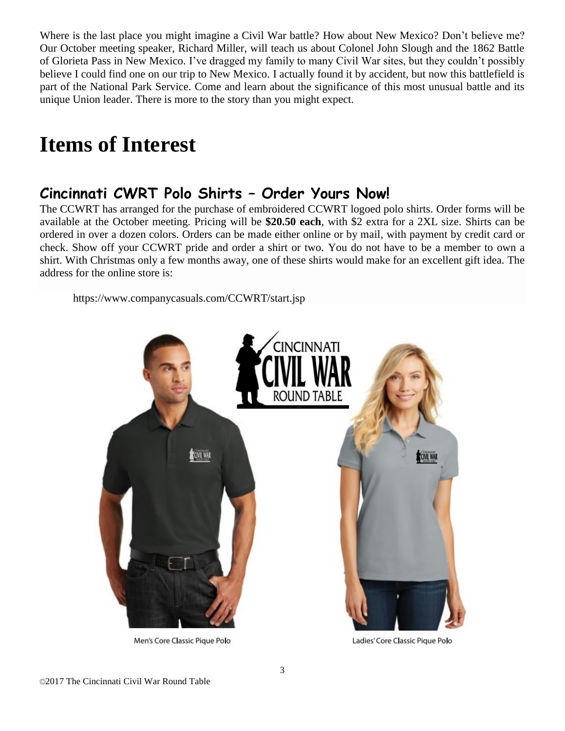Where is the last place you might imagine a Civil War battle? How about New Mexico? Don't believe me? Our October meeting speaker, Richard Miller, will teach us about Colonel John Slough and the 1862 Battle of Glorieta Pass in New Mexico. I've dragged my family to many Civil War sites, but they couldn't possibly believe I could find one on our trip to New Mexico. I actually found it by accident, but now this battlefield is part of the National Park Service. Come and learn about the significance of this most unusual battle and its unique Union leader. There is more to the story than you might expect.

# **Items of Interest**

### **Cincinnati CWRT Polo Shirts – Order Yours Now!**

The CCWRT has arranged for the purchase of embroidered CCWRT logoed polo shirts. Order forms will be available at the October meeting. Pricing will be **\$20.50 each**, with \$2 extra for a 2XL size. Shirts can be ordered in over a dozen colors. Orders can be made either online or by mail, with payment by credit card or check. Show off your CCWRT pride and order a shirt or two. You do not have to be a member to own a shirt. With Christmas only a few months away, one of these shirts would make for an excellent gift idea. The address for the online store is:

<https://www.companycasuals.com/CCWRT/start.jsp>



Men's Core Classic Pique Polo

Ladies' Core Classic Pique Polo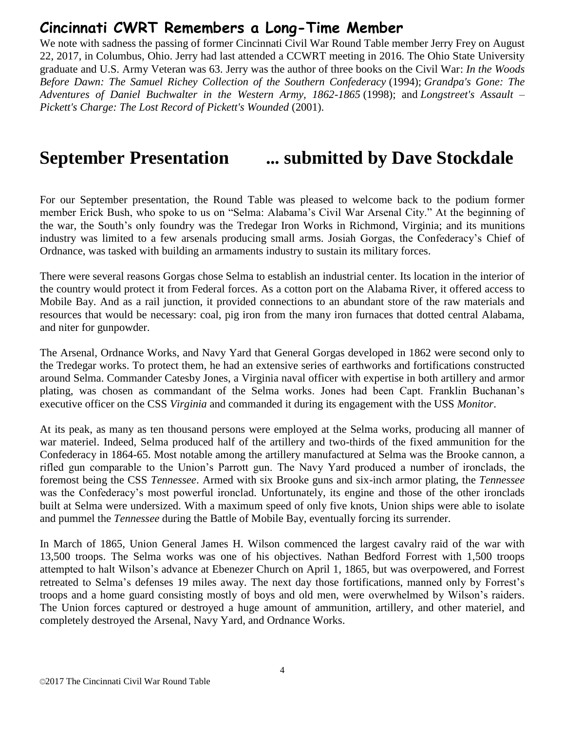### **Cincinnati CWRT Remembers a Long-Time Member**

We note with sadness the passing of former Cincinnati Civil War Round Table member Jerry Frey on August 22, 2017, in Columbus, Ohio. Jerry had last attended a CCWRT meeting in 2016. The Ohio State University graduate and U.S. Army Veteran was 63. Jerry was the author of three books on the Civil War: *In the Woods Before Dawn: The Samuel Richey Collection of the Southern Confederacy* (1994); *Grandpa's Gone: The Adventures of Daniel Buchwalter in the Western Army, 1862-1865* (1998); and *Longstreet's Assault – Pickett's Charge: The Lost Record of Pickett's Wounded* (2001).

# **September Presentation ... submitted by Dave Stockdale**

For our September presentation, the Round Table was pleased to welcome back to the podium former member Erick Bush, who spoke to us on "Selma: Alabama's Civil War Arsenal City." At the beginning of the war, the South's only foundry was the Tredegar Iron Works in Richmond, Virginia; and its munitions industry was limited to a few arsenals producing small arms. Josiah Gorgas, the Confederacy's Chief of Ordnance, was tasked with building an armaments industry to sustain its military forces.

There were several reasons Gorgas chose Selma to establish an industrial center. Its location in the interior of the country would protect it from Federal forces. As a cotton port on the Alabama River, it offered access to Mobile Bay. And as a rail junction, it provided connections to an abundant store of the raw materials and resources that would be necessary: coal, pig iron from the many iron furnaces that dotted central Alabama, and niter for gunpowder.

The Arsenal, Ordnance Works, and Navy Yard that General Gorgas developed in 1862 were second only to the Tredegar works. To protect them, he had an extensive series of earthworks and fortifications constructed around Selma. Commander Catesby Jones, a Virginia naval officer with expertise in both artillery and armor plating, was chosen as commandant of the Selma works. Jones had been Capt. Franklin Buchanan's executive officer on the CSS *Virginia* and commanded it during its engagement with the USS *Monitor*.

At its peak, as many as ten thousand persons were employed at the Selma works, producing all manner of war materiel. Indeed, Selma produced half of the artillery and two-thirds of the fixed ammunition for the Confederacy in 1864-65. Most notable among the artillery manufactured at Selma was the Brooke cannon, a rifled gun comparable to the Union's Parrott gun. The Navy Yard produced a number of ironclads, the foremost being the CSS *Tennessee*. Armed with six Brooke guns and six-inch armor plating, the *Tennessee* was the Confederacy's most powerful ironclad. Unfortunately, its engine and those of the other ironclads built at Selma were undersized. With a maximum speed of only five knots, Union ships were able to isolate and pummel the *Tennessee* during the Battle of Mobile Bay, eventually forcing its surrender.

In March of 1865, Union General James H. Wilson commenced the largest cavalry raid of the war with 13,500 troops. The Selma works was one of his objectives. Nathan Bedford Forrest with 1,500 troops attempted to halt Wilson's advance at Ebenezer Church on April 1, 1865, but was overpowered, and Forrest retreated to Selma's defenses 19 miles away. The next day those fortifications, manned only by Forrest's troops and a home guard consisting mostly of boys and old men, were overwhelmed by Wilson's raiders. The Union forces captured or destroyed a huge amount of ammunition, artillery, and other materiel, and completely destroyed the Arsenal, Navy Yard, and Ordnance Works.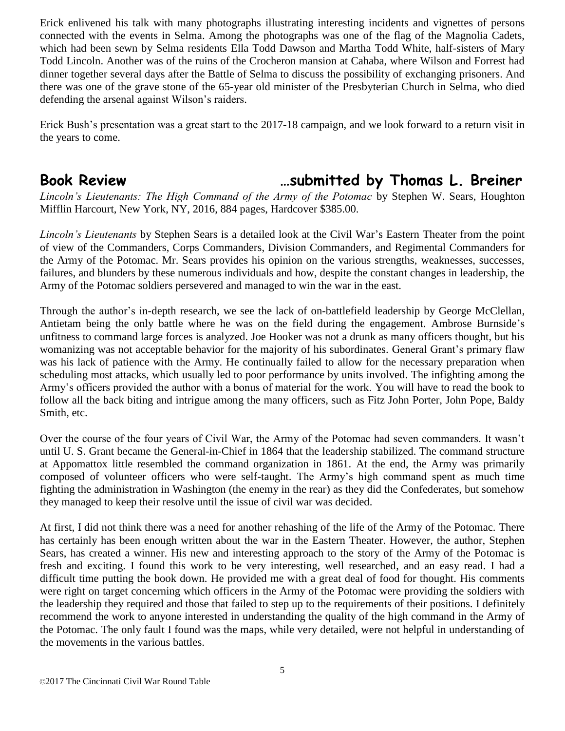Erick enlivened his talk with many photographs illustrating interesting incidents and vignettes of persons connected with the events in Selma. Among the photographs was one of the flag of the Magnolia Cadets, which had been sewn by Selma residents Ella Todd Dawson and Martha Todd White, half-sisters of Mary Todd Lincoln. Another was of the ruins of the Crocheron mansion at Cahaba, where Wilson and Forrest had dinner together several days after the Battle of Selma to discuss the possibility of exchanging prisoners. And there was one of the grave stone of the 65-year old minister of the Presbyterian Church in Selma, who died defending the arsenal against Wilson's raiders.

Erick Bush's presentation was a great start to the 2017-18 campaign, and we look forward to a return visit in the years to come.

### **Book Review …submitted by Thomas L. Breiner**

*Lincoln's Lieutenants: The High Command of the Army of the Potomac* by Stephen W. Sears, Houghton Mifflin Harcourt, New York, NY, 2016, 884 pages, Hardcover \$385.00.

*Lincoln's Lieutenants* by Stephen Sears is a detailed look at the Civil War's Eastern Theater from the point of view of the Commanders, Corps Commanders, Division Commanders, and Regimental Commanders for the Army of the Potomac. Mr. Sears provides his opinion on the various strengths, weaknesses, successes, failures, and blunders by these numerous individuals and how, despite the constant changes in leadership, the Army of the Potomac soldiers persevered and managed to win the war in the east.

Through the author's in-depth research, we see the lack of on-battlefield leadership by George McClellan, Antietam being the only battle where he was on the field during the engagement. Ambrose Burnside's unfitness to command large forces is analyzed. Joe Hooker was not a drunk as many officers thought, but his womanizing was not acceptable behavior for the majority of his subordinates. General Grant's primary flaw was his lack of patience with the Army. He continually failed to allow for the necessary preparation when scheduling most attacks, which usually led to poor performance by units involved. The infighting among the Army's officers provided the author with a bonus of material for the work. You will have to read the book to follow all the back biting and intrigue among the many officers, such as Fitz John Porter, John Pope, Baldy Smith, etc.

Over the course of the four years of Civil War, the Army of the Potomac had seven commanders. It wasn't until U. S. Grant became the General-in-Chief in 1864 that the leadership stabilized. The command structure at Appomattox little resembled the command organization in 1861. At the end, the Army was primarily composed of volunteer officers who were self-taught. The Army's high command spent as much time fighting the administration in Washington (the enemy in the rear) as they did the Confederates, but somehow they managed to keep their resolve until the issue of civil war was decided.

At first, I did not think there was a need for another rehashing of the life of the Army of the Potomac. There has certainly has been enough written about the war in the Eastern Theater. However, the author, Stephen Sears, has created a winner. His new and interesting approach to the story of the Army of the Potomac is fresh and exciting. I found this work to be very interesting, well researched, and an easy read. I had a difficult time putting the book down. He provided me with a great deal of food for thought. His comments were right on target concerning which officers in the Army of the Potomac were providing the soldiers with the leadership they required and those that failed to step up to the requirements of their positions. I definitely recommend the work to anyone interested in understanding the quality of the high command in the Army of the Potomac. The only fault I found was the maps, while very detailed, were not helpful in understanding of the movements in the various battles.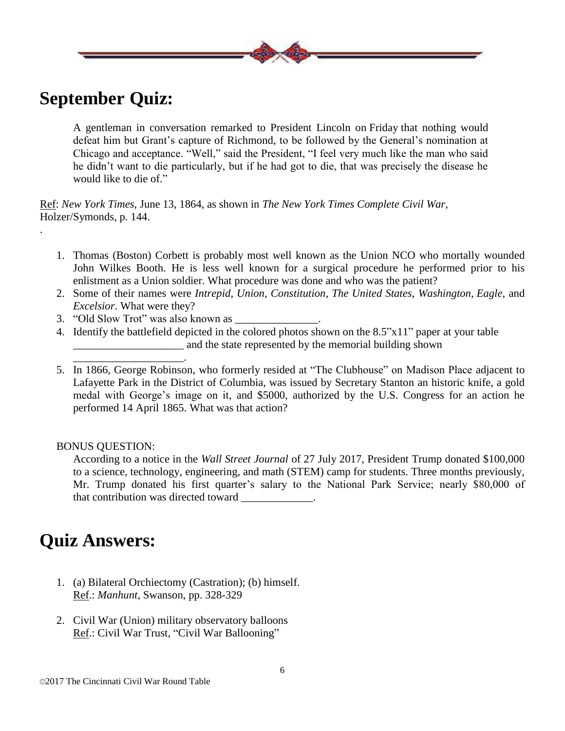

.

A gentleman in conversation remarked to President Lincoln on Friday that nothing would defeat him but Grant's capture of Richmond, to be followed by the General's nomination at Chicago and acceptance. "Well," said the President, "I feel very much like the man who said he didn't want to die particularly, but if he had got to die, that was precisely the disease he would like to die of."

Ref: *New York Times*, June 13, 1864, as shown in *The New York Times Complete Civil War*, Holzer/Symonds, p. 144.

- 1. Thomas (Boston) Corbett is probably most well known as the Union NCO who mortally wounded John Wilkes Booth. He is less well known for a surgical procedure he performed prior to his enlistment as a Union soldier. What procedure was done and who was the patient?
- 2. Some of their names were *Intrepid*, *Union*, *Constitution*, *The United States*, *Washington*, *Eagle*, and *Excelsior*. What were they?
- 3. "Old Slow Trot" was also known as \_\_\_\_\_\_\_\_\_\_\_\_\_\_\_.

\_\_\_\_\_\_\_\_\_\_\_\_\_\_\_\_\_\_\_\_.

- 4. Identify the battlefield depicted in the colored photos shown on the 8.5"x11" paper at your table \_\_\_\_\_\_\_\_\_\_\_\_\_\_\_\_\_\_\_\_ and the state represented by the memorial building shown
- 5. In 1866, George Robinson, who formerly resided at "The Clubhouse" on Madison Place adjacent to Lafayette Park in the District of Columbia, was issued by Secretary Stanton an historic knife, a gold medal with George's image on it, and \$5000, authorized by the U.S. Congress for an action he performed 14 April 1865. What was that action?

BONUS QUESTION:

According to a notice in the *Wall Street Journal* of 27 July 2017, President Trump donated \$100,000 to a science, technology, engineering, and math (STEM) camp for students. Three months previously, Mr. Trump donated his first quarter's salary to the National Park Service; nearly \$80,000 of that contribution was directed toward \_\_\_\_\_\_\_\_\_\_\_\_\_.

### **Quiz Answers:**

- 1. (a) Bilateral Orchiectomy (Castration); (b) himself. Ref.: *Manhunt*, Swanson, pp. 328-329
- 2. Civil War (Union) military observatory balloons Ref.: Civil War Trust, "Civil War Ballooning"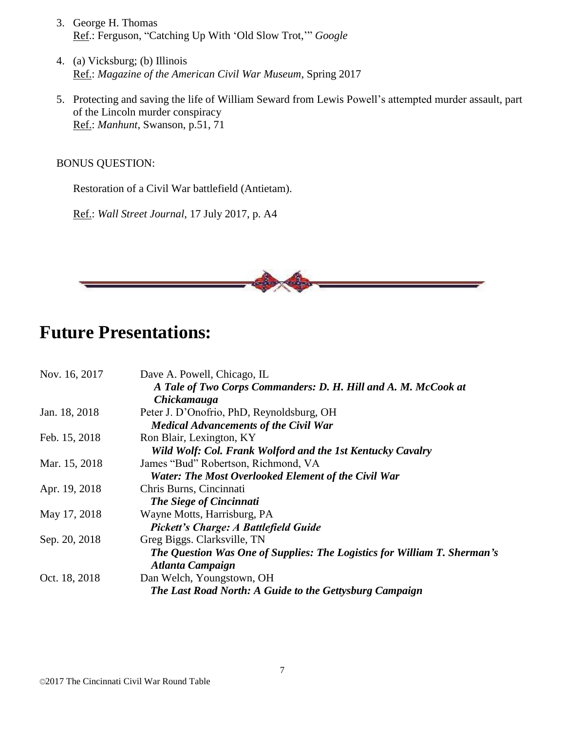- 3. George H. Thomas Ref.: Ferguson, "Catching Up With 'Old Slow Trot,'" *Google*
- 4. (a) Vicksburg; (b) Illinois Ref.: *Magazine of the American Civil War Museum*, Spring 2017
- 5. Protecting and saving the life of William Seward from Lewis Powell's attempted murder assault, part of the Lincoln murder conspiracy Ref.: *Manhunt*, Swanson, p.51, 71

### BONUS QUESTION:

Restoration of a Civil War battlefield (Antietam).

Ref.: *Wall Street Journal*, 17 July 2017, p. A4



### **Future Presentations:**

| Nov. 16, 2017 | Dave A. Powell, Chicago, IL                                              |
|---------------|--------------------------------------------------------------------------|
|               | A Tale of Two Corps Commanders: D. H. Hill and A. M. McCook at           |
|               | Chickamauga                                                              |
| Jan. 18, 2018 | Peter J. D'Onofrio, PhD, Reynoldsburg, OH                                |
|               | <b>Medical Advancements of the Civil War</b>                             |
| Feb. 15, 2018 | Ron Blair, Lexington, KY                                                 |
|               | Wild Wolf: Col. Frank Wolford and the 1st Kentucky Cavalry               |
| Mar. 15, 2018 | James "Bud" Robertson, Richmond, VA                                      |
|               | <b>Water: The Most Overlooked Element of the Civil War</b>               |
| Apr. 19, 2018 | Chris Burns, Cincinnati                                                  |
|               | The Siege of Cincinnati                                                  |
| May 17, 2018  | Wayne Motts, Harrisburg, PA                                              |
|               | Pickett's Charge: A Battlefield Guide                                    |
| Sep. 20, 2018 | Greg Biggs. Clarksville, TN                                              |
|               | The Question Was One of Supplies: The Logistics for William T. Sherman's |
|               | <b>Atlanta Campaign</b>                                                  |
| Oct. 18, 2018 | Dan Welch, Youngstown, OH                                                |
|               | The Last Road North: A Guide to the Gettysburg Campaign                  |